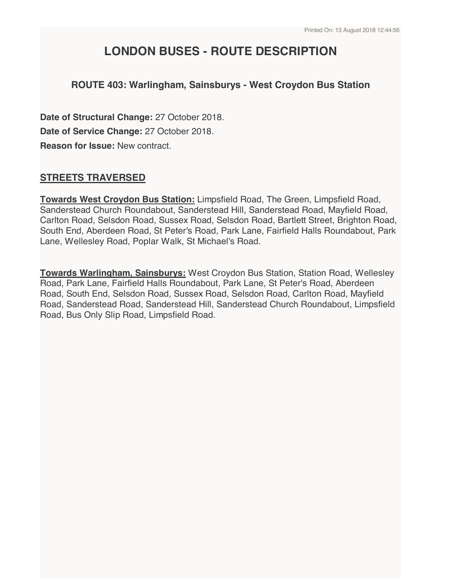# **LONDON BUSES - ROUTE DESCRIPTION**

## **ROUTE 403: Warlingham, Sainsburys - West Croydon Bus Station**

**Date of Structural Change:** 27 October 2018. **Date of Service Change:** 27 October 2018. **Reason for Issue:** New contract.

## **STREETS TRAVERSED**

**Towards West Croydon Bus Station:** Limpsfield Road, The Green, Limpsfield Road, Sanderstead Church Roundabout, Sanderstead Hill, Sanderstead Road, Mayfield Road, Carlton Road, Selsdon Road, Sussex Road, Selsdon Road, Bartlett Street, Brighton Road, South End, Aberdeen Road, St Peter's Road, Park Lane, Fairfield Halls Roundabout, Park Lane, Wellesley Road, Poplar Walk, St Michael's Road.

**Towards Warlingham, Sainsburys:** West Croydon Bus Station, Station Road, Wellesley Road, Park Lane, Fairfield Halls Roundabout, Park Lane, St Peter's Road, Aberdeen Road, South End, Selsdon Road, Sussex Road, Selsdon Road, Carlton Road, Mayfield Road, Sanderstead Road, Sanderstead Hill, Sanderstead Church Roundabout, Limpsfield Road, Bus Only Slip Road, Limpsfield Road.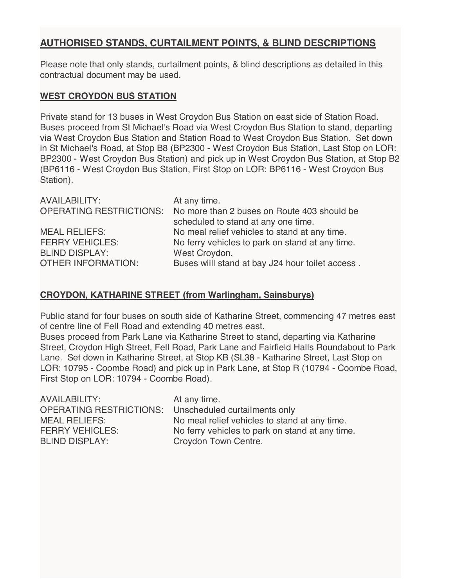## **AUTHORISED STANDS, CURTAILMENT POINTS, & BLIND DESCRIPTIONS**

Please note that only stands, curtailment points, & blind descriptions as detailed in this contractual document may be used.

#### **WEST CROYDON BUS STATION**

Private stand for 13 buses in West Croydon Bus Station on east side of Station Road. Buses proceed from St Michael's Road via West Croydon Bus Station to stand, departing via West Croydon Bus Station and Station Road to West Croydon Bus Station. Set down in St Michael's Road, at Stop B8 (BP2300 - West Croydon Bus Station, Last Stop on LOR: BP2300 - West Croydon Bus Station) and pick up in West Croydon Bus Station, at Stop B2 (BP6116 - West Croydon Bus Station, First Stop on LOR: BP6116 - West Croydon Bus Station).

| <b>AVAILABILITY:</b>           | At any time.                                    |
|--------------------------------|-------------------------------------------------|
| <b>OPERATING RESTRICTIONS:</b> | No more than 2 buses on Route 403 should be     |
|                                | scheduled to stand at any one time.             |
| <b>MEAL RELIEFS:</b>           | No meal relief vehicles to stand at any time.   |
| <b>FERRY VEHICLES:</b>         | No ferry vehicles to park on stand at any time. |
| <b>BLIND DISPLAY:</b>          | West Croydon.                                   |
| <b>OTHER INFORMATION:</b>      | Buses will stand at bay J24 hour toilet access. |

### **CROYDON, KATHARINE STREET (from Warlingham, Sainsburys)**

Public stand for four buses on south side of Katharine Street, commencing 47 metres east of centre line of Fell Road and extending 40 metres east.

Buses proceed from Park Lane via Katharine Street to stand, departing via Katharine Street, Croydon High Street, Fell Road, Park Lane and Fairfield Halls Roundabout to Park Lane. Set down in Katharine Street, at Stop KB (SL38 - Katharine Street, Last Stop on LOR: 10795 - Coombe Road) and pick up in Park Lane, at Stop R (10794 - Coombe Road, First Stop on LOR: 10794 - Coombe Road).

| AVAILABILITY:           | At any time.                                    |
|-------------------------|-------------------------------------------------|
| OPERATING RESTRICTIONS: | Unscheduled curtailments only                   |
| <b>MEAL RELIEFS:</b>    | No meal relief vehicles to stand at any time.   |
| <b>FERRY VEHICLES:</b>  | No ferry vehicles to park on stand at any time. |
| <b>BLIND DISPLAY:</b>   | Croydon Town Centre.                            |
|                         |                                                 |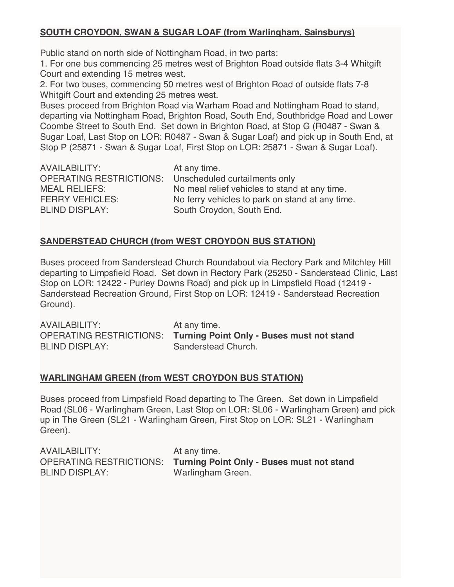## **SOUTH CROYDON, SWAN & SUGAR LOAF (from Warlingham, Sainsburys)**

Public stand on north side of Nottingham Road, in two parts:

1. For one bus commencing 25 metres west of Brighton Road outside flats 3-4 Whitgift Court and extending 15 metres west.

2. For two buses, commencing 50 metres west of Brighton Road of outside flats 7-8 Whitgift Court and extending 25 metres west.

Buses proceed from Brighton Road via Warham Road and Nottingham Road to stand, departing via Nottingham Road, Brighton Road, South End, Southbridge Road and Lower Coombe Street to South End. Set down in Brighton Road, at Stop G (R0487 - Swan & Sugar Loaf, Last Stop on LOR: R0487 - Swan & Sugar Loaf) and pick up in South End, at Stop P (25871 - Swan & Sugar Loaf, First Stop on LOR: 25871 - Swan & Sugar Loaf).

| <b>AVAILABILITY:</b>           | At any time.                                    |
|--------------------------------|-------------------------------------------------|
| <b>OPERATING RESTRICTIONS:</b> | Unscheduled curtailments only                   |
| <b>MEAL RELIEFS:</b>           | No meal relief vehicles to stand at any time.   |
| <b>FERRY VEHICLES:</b>         | No ferry vehicles to park on stand at any time. |
| <b>BLIND DISPLAY:</b>          | South Croydon, South End.                       |
|                                |                                                 |

## **SANDERSTEAD CHURCH (from WEST CROYDON BUS STATION)**

Buses proceed from Sanderstead Church Roundabout via Rectory Park and Mitchley Hill departing to Limpsfield Road. Set down in Rectory Park (25250 - Sanderstead Clinic, Last Stop on LOR: 12422 - Purley Downs Road) and pick up in Limpsfield Road (12419 - Sanderstead Recreation Ground, First Stop on LOR: 12419 - Sanderstead Recreation Ground).

AVAILABILITY: At any time. OPERATING RESTRICTIONS: **Turning Point Only - Buses must not stand** BLIND DISPLAY: Sanderstead Church.

### **WARLINGHAM GREEN (from WEST CROYDON BUS STATION)**

Buses proceed from Limpsfield Road departing to The Green. Set down in Limpsfield Road (SL06 - Warlingham Green, Last Stop on LOR: SL06 - Warlingham Green) and pick up in The Green (SL21 - Warlingham Green, First Stop on LOR: SL21 - Warlingham Green).

| AVAILABILITY:         | At any time.                                                             |
|-----------------------|--------------------------------------------------------------------------|
|                       | <b>OPERATING RESTRICTIONS: Turning Point Only - Buses must not stand</b> |
| <b>BLIND DISPLAY:</b> | Warlingham Green.                                                        |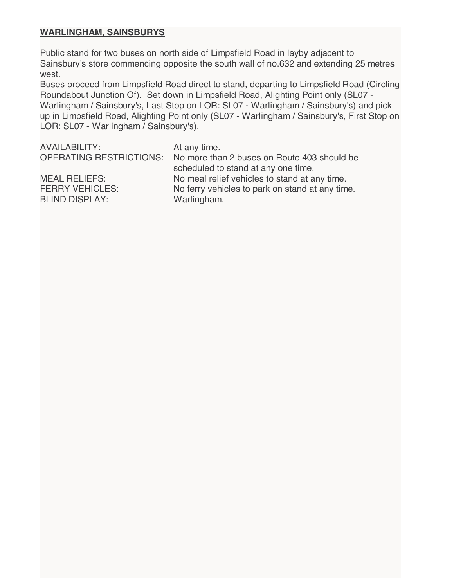### **WARLINGHAM, SAINSBURYS**

Public stand for two buses on north side of Limpsfield Road in layby adjacent to Sainsbury's store commencing opposite the south wall of no.632 and extending 25 metres west.

Buses proceed from Limpsfield Road direct to stand, departing to Limpsfield Road (Circling Roundabout Junction Of). Set down in Limpsfield Road, Alighting Point only (SL07 - Warlingham / Sainsbury's, Last Stop on LOR: SL07 - Warlingham / Sainsbury's) and pick up in Limpsfield Road, Alighting Point only (SL07 - Warlingham / Sainsbury's, First Stop on LOR: SL07 - Warlingham / Sainsbury's).

AVAILABILITY: At any time. OPERATING RESTRICTIONS: No more than 2 buses on Route 403 should be scheduled to stand at any one time. MEAL RELIEFS: No meal relief vehicles to stand at any time. FERRY VEHICLES: No ferry vehicles to park on stand at any time. BLIND DISPLAY: Warlingham.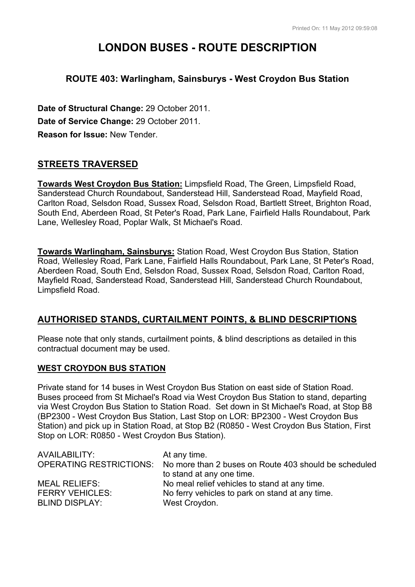# **LONDON BUSES - ROUTE DESCRIPTION**

## **ROUTE 403: Warlingham, Sainsburys - West Croydon Bus Station**

**Date of Structural Change:** 29 October 2011. **Date of Service Change:** 29 October 2011. **Reason for Issue:** New Tender.

## **STREETS TRAVERSED**

**Towards West Croydon Bus Station:** Limpsfield Road, The Green, Limpsfield Road, Sanderstead Church Roundabout, Sanderstead Hill, Sanderstead Road, Mayfield Road, Carlton Road, Selsdon Road, Sussex Road, Selsdon Road, Bartlett Street, Brighton Road, South End, Aberdeen Road, St Peter's Road, Park Lane, Fairfield Halls Roundabout, Park Lane, Wellesley Road, Poplar Walk, St Michael's Road.

**Towards Warlingham, Sainsburys:** Station Road, West Croydon Bus Station, Station Road, Wellesley Road, Park Lane, Fairfield Halls Roundabout, Park Lane, St Peter's Road, Aberdeen Road, South End, Selsdon Road, Sussex Road, Selsdon Road, Carlton Road, Mayfield Road, Sanderstead Road, Sanderstead Hill, Sanderstead Church Roundabout, Limpsfield Road.

### **AUTHORISED STANDS, CURTAILMENT POINTS, & BLIND DESCRIPTIONS**

Please note that only stands, curtailment points, & blind descriptions as detailed in this contractual document may be used.

#### **WEST CROYDON BUS STATION**

Private stand for 14 buses in West Croydon Bus Station on east side of Station Road. Buses proceed from St Michael's Road via West Croydon Bus Station to stand, departing via West Croydon Bus Station to Station Road. Set down in St Michael's Road, at Stop B8 (BP2300 - West Croydon Bus Station, Last Stop on LOR: BP2300 - West Croydon Bus Station) and pick up in Station Road, at Stop B2 (R0850 - West Croydon Bus Station, First Stop on LOR: R0850 - West Croydon Bus Station).

| AVAILABILITY:          | At any time.                                                                  |
|------------------------|-------------------------------------------------------------------------------|
|                        | OPERATING RESTRICTIONS: No more than 2 buses on Route 403 should be scheduled |
|                        | to stand at any one time.                                                     |
| <b>MEAL RELIEFS:</b>   | No meal relief vehicles to stand at any time.                                 |
| <b>FERRY VEHICLES:</b> | No ferry vehicles to park on stand at any time.                               |
| <b>BLIND DISPLAY:</b>  | West Croydon.                                                                 |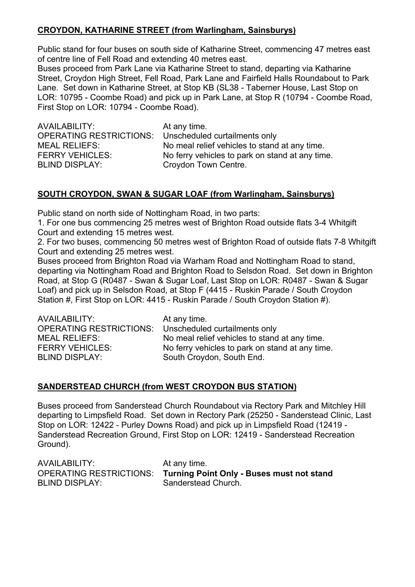## **CROYDON, KATHARINE STREET (from Warlingham, Sainsburys)**

Public stand for four buses on south side of Katharine Street, commencing 47 metres east of centre line of Fell Road and extending 40 metres east.

Buses proceed from Park Lane via Katharine Street to stand, departing via Katharine Street, Croydon High Street, Fell Road, Park Lane and Fairfield Halls Roundabout to Park Lane. Set down in Katharine Street, at Stop KB (SL38 - Taberner House, Last Stop on LOR: 10795 - Coombe Road) and pick up in Park Lane, at Stop R (10794 - Coombe Road, First Stop on LOR: 10794 - Coombe Road).

AVAILABILITY: At any time. OPERATING RESTRICTIONS: Unscheduled curtailments only BLIND DISPLAY: Croydon Town Centre.

MEAL RELIEFS: No meal relief vehicles to stand at any time. FERRY VEHICLES: No ferry vehicles to park on stand at any time.

## **SOUTH CROYDON, SWAN & SUGAR LOAF (from Warlingham, Sainsburys)**

Public stand on north side of Nottingham Road, in two parts:

1. For one bus commencing 25 metres west of Brighton Road outside flats 3-4 Whitgift Court and extending 15 metres west.

2. For two buses, commencing 50 metres west of Brighton Road of outside flats 7-8 Whitgift Court and extending 25 metres west.

Buses proceed from Brighton Road via Warham Road and Nottingham Road to stand, departing via Nottingham Road and Brighton Road to Selsdon Road. Set down in Brighton Road, at Stop G (R0487 - Swan & Sugar Loaf, Last Stop on LOR: R0487 - Swan & Sugar Loaf) and pick up in Selsdon Road, at Stop F (4415 - Ruskin Parade / South Croydon Station #, First Stop on LOR: 4415 - Ruskin Parade / South Croydon Station #).

| AVAILABILITY:           | At any time.                                    |
|-------------------------|-------------------------------------------------|
| OPERATING RESTRICTIONS: | Unscheduled curtailments only                   |
| <b>MEAL RELIEFS:</b>    | No meal relief vehicles to stand at any time.   |
| <b>FERRY VEHICLES:</b>  | No ferry vehicles to park on stand at any time. |
| <b>BLIND DISPLAY:</b>   | South Croydon, South End.                       |

### **SANDERSTEAD CHURCH (from WEST CROYDON BUS STATION)**

Buses proceed from Sanderstead Church Roundabout via Rectory Park and Mitchley Hill departing to Limpsfield Road. Set down in Rectory Park (25250 - Sanderstead Clinic, Last Stop on LOR: 12422 - Purley Downs Road) and pick up in Limpsfield Road (12419 - Sanderstead Recreation Ground, First Stop on LOR: 12419 - Sanderstead Recreation Ground).

| AVAILABILITY:         | At any time.                                                      |
|-----------------------|-------------------------------------------------------------------|
|                       | OPERATING RESTRICTIONS: Turning Point Only - Buses must not stand |
| <b>BLIND DISPLAY:</b> | Sanderstead Church.                                               |